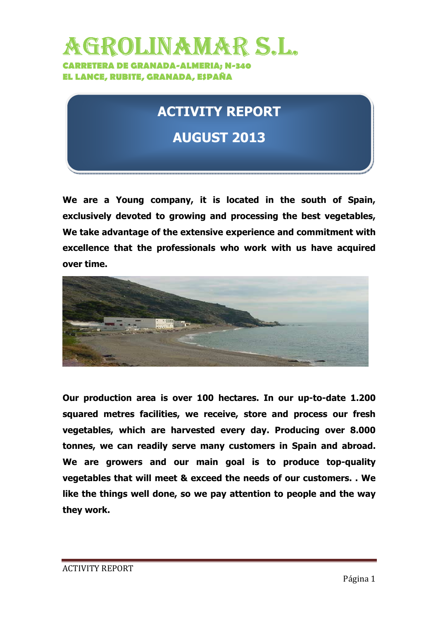## GROLINAMAR S.L. **CARRETERA DE GRANADA-ALMERIA; N-340 EL LANCE, RUBITE, GRANADA, ESPAÑA**

## **ACTIVITY REPORT**

## **AUGUST 2013**

**We are a Young company, it is located in the south of Spain, exclusively devoted to growing and processing the best vegetables, We take advantage of the extensive experience and commitment with excellence that the professionals who work with us have acquired over time.** 



**Our production area is over 100 hectares. In our up-to-date 1.200 squared metres facilities, we receive, store and process our fresh vegetables, which are harvested every day. Producing over 8.000 tonnes, we can readily serve many customers in Spain and abroad. We are growers and our main goal is to produce top-quality vegetables that will meet & exceed the needs of our customers. . We like the things well done, so we pay attention to people and the way they work.**